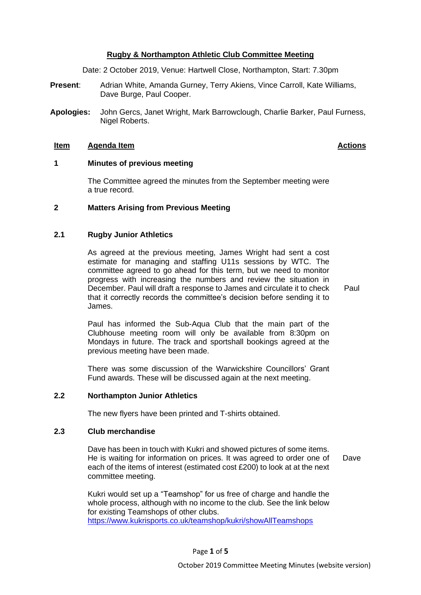# **Rugby & Northampton Athletic Club Committee Meeting**

Date: 2 October 2019, Venue: Hartwell Close, Northampton, Start: 7.30pm

- **Present**: Adrian White, Amanda Gurney, Terry Akiens, Vince Carroll, Kate Williams, Dave Burge, Paul Cooper.
- **Apologies:** John Gercs, Janet Wright, Mark Barrowclough, Charlie Barker, Paul Furness, Nigel Roberts.

#### **Item Agenda Item Actions**

#### **1 Minutes of previous meeting**

The Committee agreed the minutes from the September meeting were a true record.

## **2 Matters Arising from Previous Meeting**

#### **2.1 Rugby Junior Athletics**

As agreed at the previous meeting, James Wright had sent a cost estimate for managing and staffing U11s sessions by WTC. The committee agreed to go ahead for this term, but we need to monitor progress with increasing the numbers and review the situation in December. Paul will draft a response to James and circulate it to check that it correctly records the committee's decision before sending it to James.

Paul

Paul has informed the Sub-Aqua Club that the main part of the Clubhouse meeting room will only be available from 8:30pm on Mondays in future. The track and sportshall bookings agreed at the previous meeting have been made.

There was some discussion of the Warwickshire Councillors' Grant Fund awards. These will be discussed again at the next meeting.

#### **2.2 Northampton Junior Athletics**

The new flyers have been printed and T-shirts obtained.

### **2.3 Club merchandise**

Dave has been in touch with Kukri and showed pictures of some items. He is waiting for information on prices. It was agreed to order one of each of the items of interest (estimated cost £200) to look at at the next committee meeting. Dave

Kukri would set up a "Teamshop" for us free of charge and handle the whole process, although with no income to the club. See the link below for existing Teamshops of other clubs. <https://www.kukrisports.co.uk/teamshop/kukri/showAllTeamshops>

Page **1** of **5**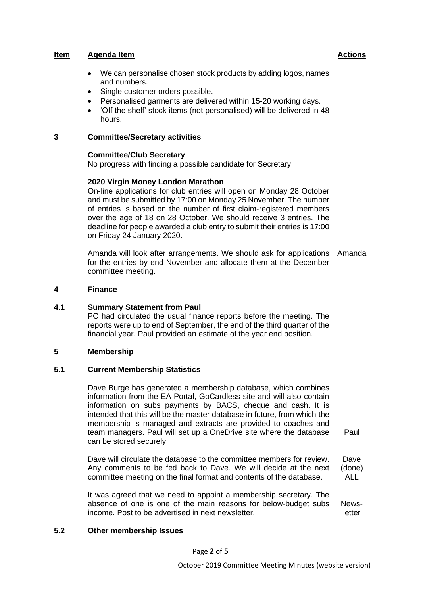- We can personalise chosen stock products by adding logos, names and numbers.
- Single customer orders possible.
- Personalised garments are delivered within 15-20 working days.
- 'Off the shelf' stock items (not personalised) will be delivered in 48 hours.

## **3 Committee/Secretary activities**

## **Committee/Club Secretary**

No progress with finding a possible candidate for Secretary.

## **2020 Virgin Money London Marathon**

On-line applications for club entries will open on Monday 28 October and must be submitted by 17:00 on Monday 25 November. The number of entries is based on the number of first claim-registered members over the age of 18 on 28 October. We should receive 3 entries. The deadline for people awarded a club entry to submit their entries is 17:00 on Friday 24 January 2020.

Amanda will look after arrangements. We should ask for applications Amanda for the entries by end November and allocate them at the December committee meeting.

### **4 Finance**

# **4.1 Summary Statement from Paul**

PC had circulated the usual finance reports before the meeting. The reports were up to end of September, the end of the third quarter of the financial year. Paul provided an estimate of the year end position.

# **5 Membership**

## **5.1 Current Membership Statistics**

Dave Burge has generated a membership database, which combines information from the EA Portal, GoCardless site and will also contain information on subs payments by BACS, cheque and cash. It is intended that this will be the master database in future, from which the membership is managed and extracts are provided to coaches and team managers. Paul will set up a OneDrive site where the database can be stored securely. Paul

Dave will circulate the database to the committee members for review. Any comments to be fed back to Dave. We will decide at the next committee meeting on the final format and contents of the database. Dave (done) ALL

It was agreed that we need to appoint a membership secretary. The absence of one is one of the main reasons for below-budget subs income. Post to be advertised in next newsletter. Newsletter

# **5.2 Other membership Issues**

Page **2** of **5**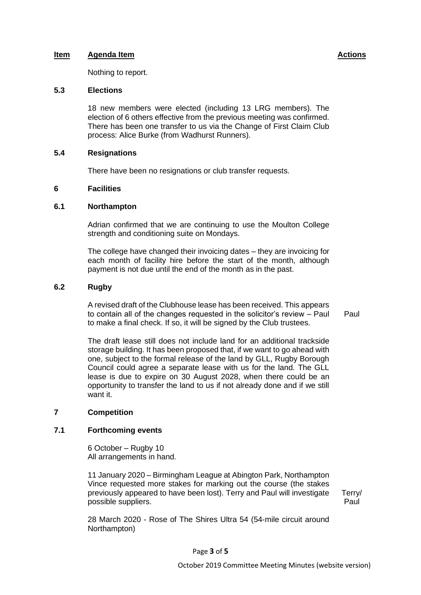Nothing to report.

## **5.3 Elections**

18 new members were elected (including 13 LRG members). The election of 6 others effective from the previous meeting was confirmed. There has been one transfer to us via the Change of First Claim Club process: Alice Burke (from Wadhurst Runners).

#### **5.4 Resignations**

There have been no resignations or club transfer requests.

#### **6 Facilities**

## **6.1 Northampton**

Adrian confirmed that we are continuing to use the Moulton College strength and conditioning suite on Mondays.

The college have changed their invoicing dates – they are invoicing for each month of facility hire before the start of the month, although payment is not due until the end of the month as in the past.

#### **6.2 Rugby**

A revised draft of the Clubhouse lease has been received. This appears to contain all of the changes requested in the solicitor's review – Paul to make a final check. If so, it will be signed by the Club trustees.

Paul

The draft lease still does not include land for an additional trackside storage building. It has been proposed that, if we want to go ahead with one, subject to the formal release of the land by GLL, Rugby Borough Council could agree a separate lease with us for the land. The GLL lease is due to expire on 30 August 2028, when there could be an opportunity to transfer the land to us if not already done and if we still want it.

# **7 Competition**

### **7.1 Forthcoming events**

6 October – Rugby 10 All arrangements in hand.

11 January 2020 – Birmingham League at Abington Park, Northampton Vince requested more stakes for marking out the course (the stakes previously appeared to have been lost). Terry and Paul will investigate possible suppliers.

Terry/ Paul

28 March 2020 - Rose of The Shires Ultra 54 (54-mile circuit around Northampton)

Page **3** of **5**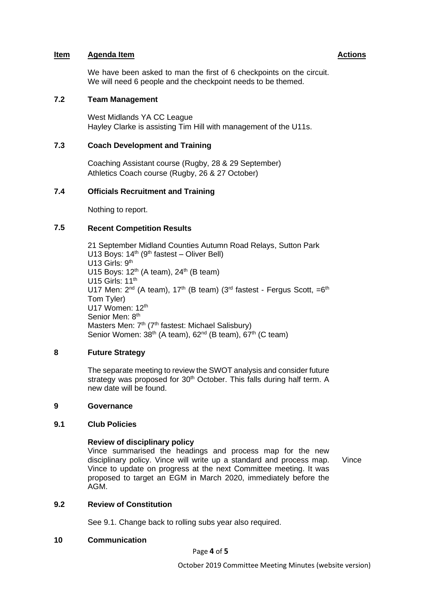We have been asked to man the first of 6 checkpoints on the circuit. We will need 6 people and the checkpoint needs to be themed.

## **7.2 Team Management**

West Midlands YA CC League Hayley Clarke is assisting Tim Hill with management of the U11s.

# **7.3 Coach Development and Training**

Coaching Assistant course (Rugby, 28 & 29 September) Athletics Coach course (Rugby, 26 & 27 October)

# **7.4 Officials Recruitment and Training**

Nothing to report.

# **7.5 Recent Competition Results**

21 September Midland Counties Autumn Road Relays, Sutton Park U13 Boys:  $14<sup>th</sup>$  (9<sup>th</sup> fastest – Oliver Bell) U13 Girls: 9<sup>th</sup> U15 Boys:  $12<sup>th</sup>$  (A team),  $24<sup>th</sup>$  (B team) U15 Girls:  $11<sup>th</sup>$ U17 Men:  $2^{nd}$  (A team), 17<sup>th</sup> (B team) (3<sup>rd</sup> fastest - Fergus Scott, =6<sup>th</sup> Tom Tyler) U17 Women: 12<sup>th</sup> Senior Men: 8<sup>th</sup> Masters Men:  $7<sup>th</sup>$  ( $7<sup>th</sup>$  fastest: Michael Salisbury) Senior Women:  $38<sup>th</sup>$  (A team),  $62<sup>nd</sup>$  (B team),  $67<sup>th</sup>$  (C team)

# **8 Future Strategy**

The separate meeting to review the SWOT analysis and consider future strategy was proposed for 30<sup>th</sup> October. This falls during half term. A new date will be found.

### **9 Governance**

### **9.1 Club Policies**

### **Review of disciplinary policy**

Vince summarised the headings and process map for the new disciplinary policy. Vince will write up a standard and process map. Vince to update on progress at the next Committee meeting. It was proposed to target an EGM in March 2020, immediately before the AGM.

Vince

### **9.2 Review of Constitution**

See 9.1. Change back to rolling subs year also required.

## **10 Communication**

Page **4** of **5**